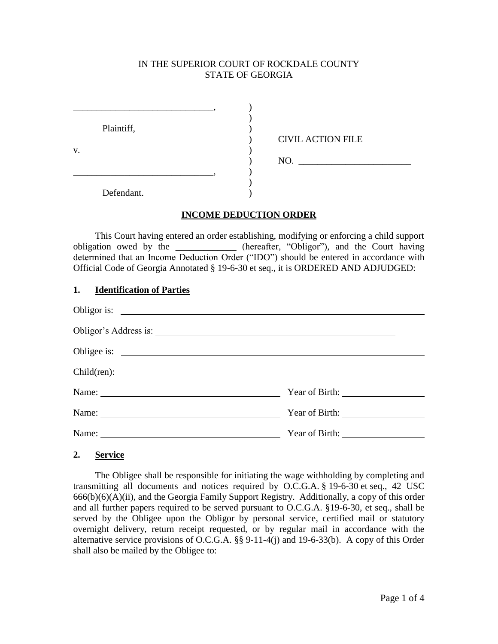## IN THE SUPERIOR COURT OF ROCKDALE COUNTY STATE OF GEORGIA

|    | Plaintiff, |                          |  |
|----|------------|--------------------------|--|
| V. |            | <b>CIVIL ACTION FILE</b> |  |
|    |            | NO.                      |  |
|    |            |                          |  |
|    | Defendant. |                          |  |

### **INCOME DEDUCTION ORDER**

This Court having entered an order establishing, modifying or enforcing a child support obligation owed by the \_\_\_\_\_\_\_\_\_\_\_\_\_ (hereafter, "Obligor"), and the Court having determined that an Income Deduction Order ("IDO") should be entered in accordance with Official Code of Georgia Annotated § 19-6-30 et seq., it is ORDERED AND ADJUDGED:

### **1. Identification of Parties**

| Child(ren):                                                                                                     |  |  |  |  |
|-----------------------------------------------------------------------------------------------------------------|--|--|--|--|
|                                                                                                                 |  |  |  |  |
| Name: 2008. [2010] Name: 2008. [2010] 2010 2021 2022. [2010] 2012 2022. [2010] 2012 2022. [2010] 2012 2022. [20 |  |  |  |  |
| Name: Name                                                                                                      |  |  |  |  |

**2. Service**

The Obligee shall be responsible for initiating the wage withholding by completing and transmitting all documents and notices required by O.C.G.A. § 19-6-30 et seq., 42 USC 666(b)(6)(A)(ii), and the Georgia Family Support Registry. Additionally, a copy of this order and all further papers required to be served pursuant to O.C.G.A. §19-6-30, et seq., shall be served by the Obligee upon the Obligor by personal service, certified mail or statutory overnight delivery, return receipt requested, or by regular mail in accordance with the alternative service provisions of O.C.G.A. §§ 9-11-4(j) and 19-6-33(b). A copy of this Order shall also be mailed by the Obligee to: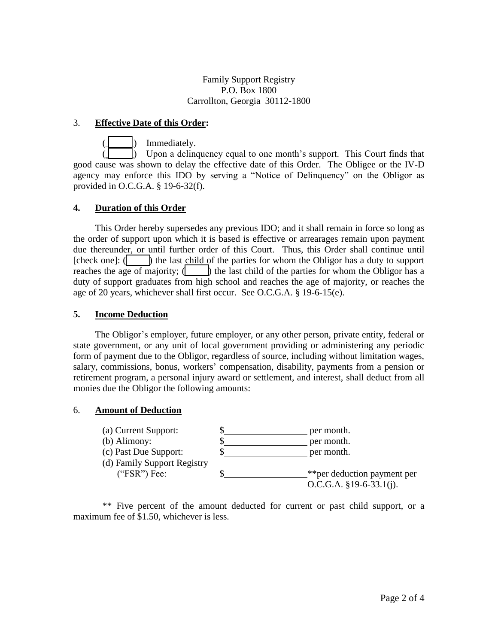Family Support Registry P.O. Box 1800 Carrollton, Georgia 30112-1800

## 3. **Effective Date of this Order:**

Immediately.

Upon a delinquency equal to one month's support. This Court finds that good cause was shown to delay the effective date of this Order. The Obligee or the IV-D agency may enforce this IDO by serving a "Notice of Delinquency" on the Obligor as provided in O.C.G.A. § 19-6-32(f).

## **4. Duration of this Order**

This Order hereby supersedes any previous IDO; and it shall remain in force so long as the order of support upon which it is based is effective or arrearages remain upon payment due thereunder, or until further order of this Court. Thus, this Order shall continue until [check one]: ( $\Box$ ) the last child of the parties for whom the Obligor has a duty to support reaches the age of majority;  $\langle \cdot \cdot \cdot \rangle$  the last child of the parties for whom the Obligor has a duty of support graduates from high school and reaches the age of majority, or reaches the age of 20 years, whichever shall first occur. See O.C.G.A. § 19-6-15(e).

## **5. Income Deduction**

The Obligor's employer, future employer, or any other person, private entity, federal or state government, or any unit of local government providing or administering any periodic form of payment due to the Obligor, regardless of source, including without limitation wages, salary, commissions, bonus, workers' compensation, disability, payments from a pension or retirement program, a personal injury award or settlement, and interest, shall deduct from all monies due the Obligor the following amounts:

### 6. **Amount of Deduction**



\*\* Five percent of the amount deducted for current or past child support, or a maximum fee of \$1.50, whichever is less.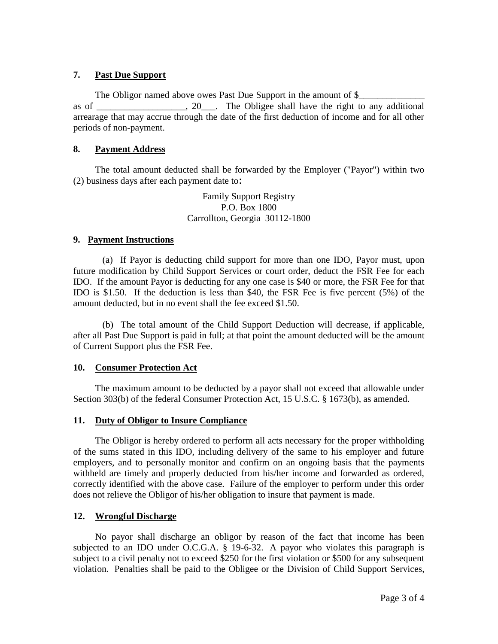# **7. Past Due Support**

The Obligor named above owes Past Due Support in the amount of \$ as of \_\_\_\_\_\_\_\_\_\_\_\_\_\_\_\_\_\_\_, 20\_\_\_. The Obligee shall have the right to any additional arrearage that may accrue through the date of the first deduction of income and for all other periods of non-payment.

# **8. Payment Address**

The total amount deducted shall be forwarded by the Employer ("Payor") within two (2) business days after each payment date to:

> Family Support Registry P.O. Box 1800 Carrollton, Georgia 30112-1800

## **9. Payment Instructions**

(a) If Payor is deducting child support for more than one IDO, Payor must, upon future modification by Child Support Services or court order, deduct the FSR Fee for each IDO. If the amount Payor is deducting for any one case is \$40 or more, the FSR Fee for that IDO is \$1.50. If the deduction is less than \$40, the FSR Fee is five percent (5%) of the amount deducted, but in no event shall the fee exceed \$1.50.

(b) The total amount of the Child Support Deduction will decrease, if applicable, after all Past Due Support is paid in full; at that point the amount deducted will be the amount of Current Support plus the FSR Fee.

### **10. Consumer Protection Act**

The maximum amount to be deducted by a payor shall not exceed that allowable under Section 303(b) of the federal Consumer Protection Act, 15 U.S.C. § 1673(b), as amended.

### **11. Duty of Obligor to Insure Compliance**

The Obligor is hereby ordered to perform all acts necessary for the proper withholding of the sums stated in this IDO, including delivery of the same to his employer and future employers, and to personally monitor and confirm on an ongoing basis that the payments withheld are timely and properly deducted from his/her income and forwarded as ordered, correctly identified with the above case. Failure of the employer to perform under this order does not relieve the Obligor of his/her obligation to insure that payment is made.

# **12. Wrongful Discharge**

No payor shall discharge an obligor by reason of the fact that income has been subjected to an IDO under O.C.G.A. § 19-6-32. A payor who violates this paragraph is subject to a civil penalty not to exceed \$250 for the first violation or \$500 for any subsequent violation. Penalties shall be paid to the Obligee or the Division of Child Support Services,